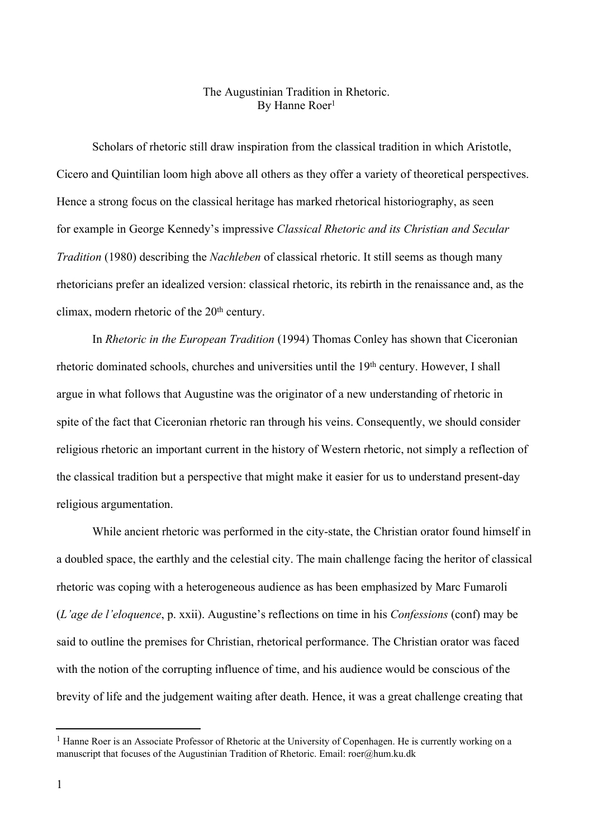## The Augustinian Tradition in Rhetoric. By Hanne Roer 1

Scholars of rhetoric still draw inspiration from the classical tradition in which Aristotle, Cicero and Quintilian loom high above all others as they offer a variety of theoretical perspectives. Hence a strong focus on the classical heritage has marked rhetorical historiography, as seen for example in George Kennedy's impressive *Classical Rhetoric and its Christian and Secular Tradition* (1980) describing the *Nachleben* of classical rhetoric. It still seems as though many rhetoricians prefer an idealized version: classical rhetoric, its rebirth in the renaissance and, as the climax, modern rhetoric of the 20<sup>th</sup> century.

In *Rhetoric in the European Tradition* (1994) Thomas Conley has shown that Ciceronian rhetoric dominated schools, churches and universities until the 19<sup>th</sup> century. However, I shall argue in what follows that Augustine was the originator of a new understanding of rhetoric in spite of the fact that Ciceronian rhetoric ran through his veins. Consequently, we should consider religious rhetoric an important current in the history of Western rhetoric, not simply a reflection of the classical tradition but a perspective that might make it easier for us to understand present-day religious argumentation.

While ancient rhetoric was performed in the city-state, the Christian orator found himself in a doubled space, the earthly and the celestial city. The main challenge facing the heritor of classical rhetoric was coping with a heterogeneous audience as has been emphasized by Marc Fumaroli (*L'age de l'eloquence*, p. xxii). Augustine's reflections on time in his *Confessions* (conf) may be said to outline the premises for Christian, rhetorical performance. The Christian orator was faced with the notion of the corrupting influence of time, and his audience would be conscious of the brevity of life and the judgement waiting after death. Hence, it was a great challenge creating that

<sup>&</sup>lt;sup>1</sup> Hanne Roer is an Associate Professor of Rhetoric at the University of Copenhagen. He is currently working on a manuscript that focuses of the Augustinian Tradition of Rhetoric. Email: roer@hum.ku.dk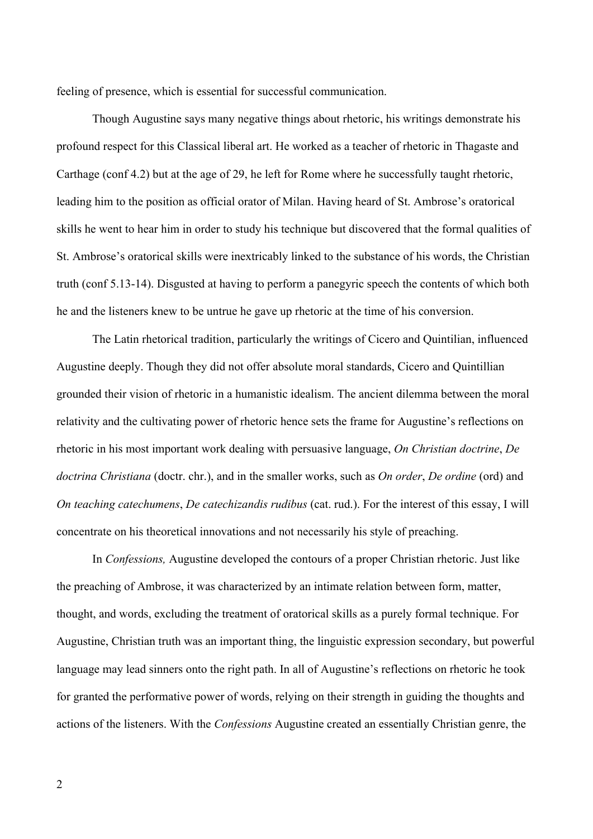feeling of presence, which is essential for successful communication.

Though Augustine says many negative things about rhetoric, his writings demonstrate his profound respect for this Classical liberal art. He worked as a teacher of rhetoric in Thagaste and Carthage (conf 4.2) but at the age of 29, he left for Rome where he successfully taught rhetoric, leading him to the position as official orator of Milan. Having heard of St. Ambrose's oratorical skills he went to hear him in order to study his technique but discovered that the formal qualities of St. Ambrose's oratorical skills were inextricably linked to the substance of his words, the Christian truth (conf 5.13-14). Disgusted at having to perform a panegyric speech the contents of which both he and the listeners knew to be untrue he gave up rhetoric at the time of his conversion.

The Latin rhetorical tradition, particularly the writings of Cicero and Quintilian, influenced Augustine deeply. Though they did not offer absolute moral standards, Cicero and Quintillian grounded their vision of rhetoric in a humanistic idealism. The ancient dilemma between the moral relativity and the cultivating power of rhetoric hence sets the frame for Augustine's reflections on rhetoric in his most important work dealing with persuasive language, *On Christian doctrine*, *De doctrina Christiana* (doctr. chr.), and in the smaller works, such as *On order*, *De ordine* (ord) and *On teaching catechumens*, *De catechizandis rudibus* (cat. rud.). For the interest of this essay, I will concentrate on his theoretical innovations and not necessarily his style of preaching.

In *Confessions,* Augustine developed the contours of a proper Christian rhetoric. Just like the preaching of Ambrose, it was characterized by an intimate relation between form, matter, thought, and words, excluding the treatment of oratorical skills as a purely formal technique. For Augustine, Christian truth was an important thing, the linguistic expression secondary, but powerful language may lead sinners onto the right path. In all of Augustine's reflections on rhetoric he took for granted the performative power of words, relying on their strength in guiding the thoughts and actions of the listeners. With the *Confessions* Augustine created an essentially Christian genre, the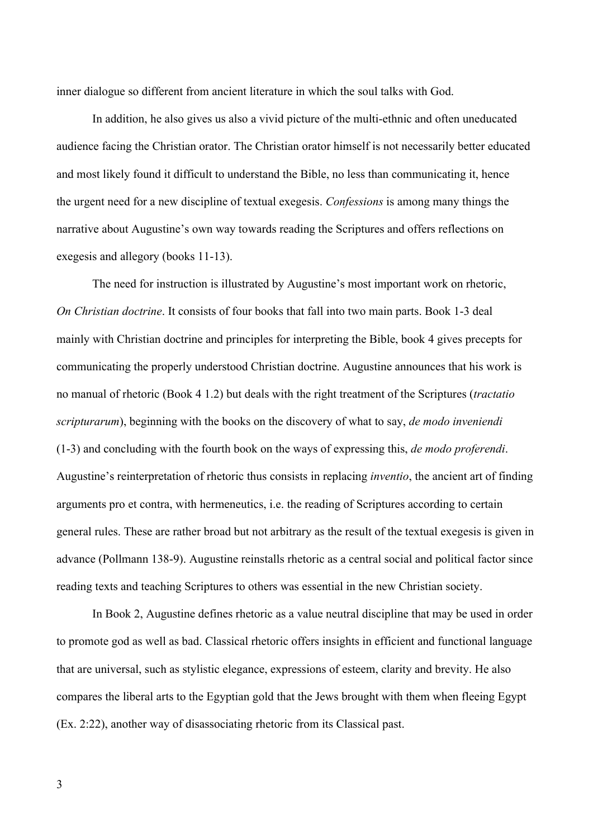inner dialogue so different from ancient literature in which the soul talks with God.

In addition, he also gives us also a vivid picture of the multi-ethnic and often uneducated audience facing the Christian orator. The Christian orator himself is not necessarily better educated and most likely found it difficult to understand the Bible, no less than communicating it, hence the urgent need for a new discipline of textual exegesis. *Confessions* is among many things the narrative about Augustine's own way towards reading the Scriptures and offers reflections on exegesis and allegory (books 11-13).

The need for instruction is illustrated by Augustine's most important work on rhetoric, *On Christian doctrine*. It consists of four books that fall into two main parts. Book 1-3 deal mainly with Christian doctrine and principles for interpreting the Bible, book 4 gives precepts for communicating the properly understood Christian doctrine. Augustine announces that his work is no manual of rhetoric (Book 4 1.2) but deals with the right treatment of the Scriptures (*tractatio scripturarum*), beginning with the books on the discovery of what to say, *de modo inveniendi* (1-3) and concluding with the fourth book on the ways of expressing this, *de modo proferendi*. Augustine's reinterpretation of rhetoric thus consists in replacing *inventio*, the ancient art of finding arguments pro et contra, with hermeneutics, i.e. the reading of Scriptures according to certain general rules. These are rather broad but not arbitrary as the result of the textual exegesis is given in advance (Pollmann 138-9). Augustine reinstalls rhetoric as a central social and political factor since reading texts and teaching Scriptures to others was essential in the new Christian society.

In Book 2, Augustine defines rhetoric as a value neutral discipline that may be used in order to promote god as well as bad. Classical rhetoric offers insights in efficient and functional language that are universal, such as stylistic elegance, expressions of esteem, clarity and brevity. He also compares the liberal arts to the Egyptian gold that the Jews brought with them when fleeing Egypt (Ex. 2:22), another way of disassociating rhetoric from its Classical past.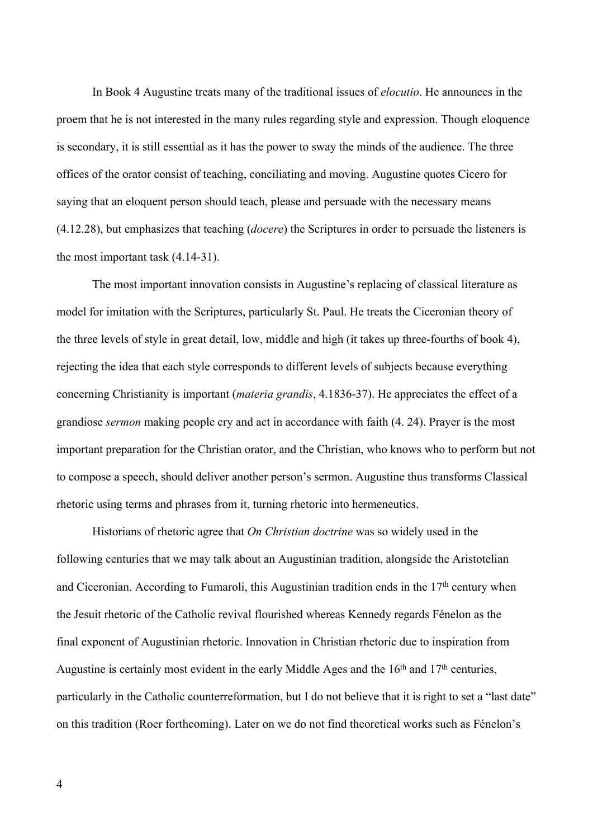In Book 4 Augustine treats many of the traditional issues of *elocutio*. He announces in the proem that he is not interested in the many rules regarding style and expression. Though eloquence is secondary, it is still essential as it has the power to sway the minds of the audience. The three offices of the orator consist of teaching, conciliating and moving. Augustine quotes Cicero for saying that an eloquent person should teach, please and persuade with the necessary means (4.12.28), but emphasizes that teaching (*docere*) the Scriptures in order to persuade the listeners is the most important task (4.14-31).

The most important innovation consists in Augustine's replacing of classical literature as model for imitation with the Scriptures, particularly St. Paul. He treats the Ciceronian theory of the three levels of style in great detail, low, middle and high (it takes up three-fourths of book 4), rejecting the idea that each style corresponds to different levels of subjects because everything concerning Christianity is important (*materia grandis*, 4.1836-37). He appreciates the effect of a grandiose *sermon* making people cry and act in accordance with faith (4. 24). Prayer is the most important preparation for the Christian orator, and the Christian, who knows who to perform but not to compose a speech, should deliver another person's sermon. Augustine thus transforms Classical rhetoric using terms and phrases from it, turning rhetoric into hermeneutics.

Historians of rhetoric agree that *On Christian doctrine* was so widely used in the following centuries that we may talk about an Augustinian tradition, alongside the Aristotelian and Ciceronian. According to Fumaroli, this Augustinian tradition ends in the 17<sup>th</sup> century when the Jesuit rhetoric of the Catholic revival flourished whereas Kennedy regards Fénelon as the final exponent of Augustinian rhetoric. Innovation in Christian rhetoric due to inspiration from Augustine is certainly most evident in the early Middle Ages and the 16<sup>th</sup> and 17<sup>th</sup> centuries, particularly in the Catholic counterreformation, but I do not believe that it is right to set a "last date" on this tradition (Roer forthcoming). Later on we do not find theoretical works such as Fénelon's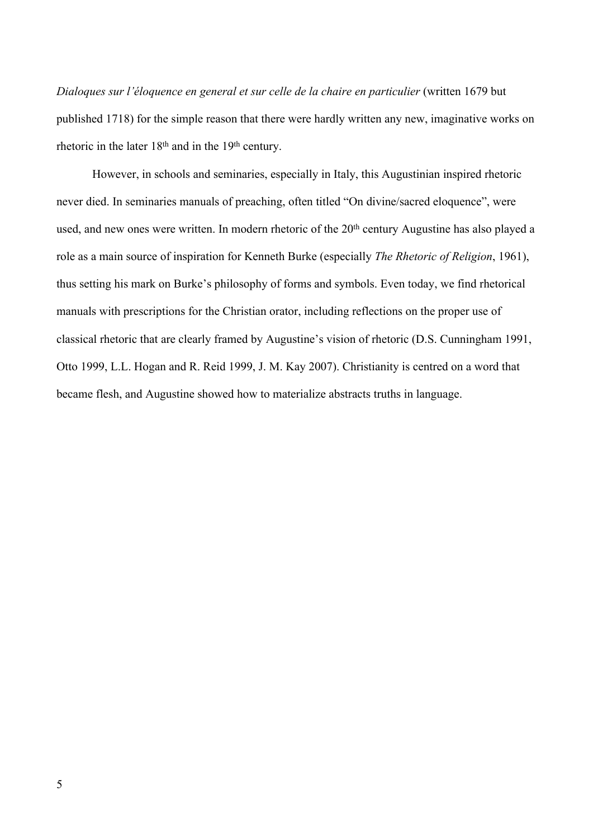*Dialoques sur l'éloquence en general et sur celle de la chaire en particulier* (written 1679 but published 1718) for the simple reason that there were hardly written any new, imaginative works on rhetoric in the later  $18<sup>th</sup>$  and in the  $19<sup>th</sup>$  century.

However, in schools and seminaries, especially in Italy, this Augustinian inspired rhetoric never died. In seminaries manuals of preaching, often titled "On divine/sacred eloquence", were used, and new ones were written. In modern rhetoric of the 20<sup>th</sup> century Augustine has also played a role as a main source of inspiration for Kenneth Burke (especially *The Rhetoric of Religion*, 1961), thus setting his mark on Burke's philosophy of forms and symbols. Even today, we find rhetorical manuals with prescriptions for the Christian orator, including reflections on the proper use of classical rhetoric that are clearly framed by Augustine's vision of rhetoric (D.S. Cunningham 1991, Otto 1999, L.L. Hogan and R. Reid 1999, J. M. Kay 2007). Christianity is centred on a word that became flesh, and Augustine showed how to materialize abstracts truths in language.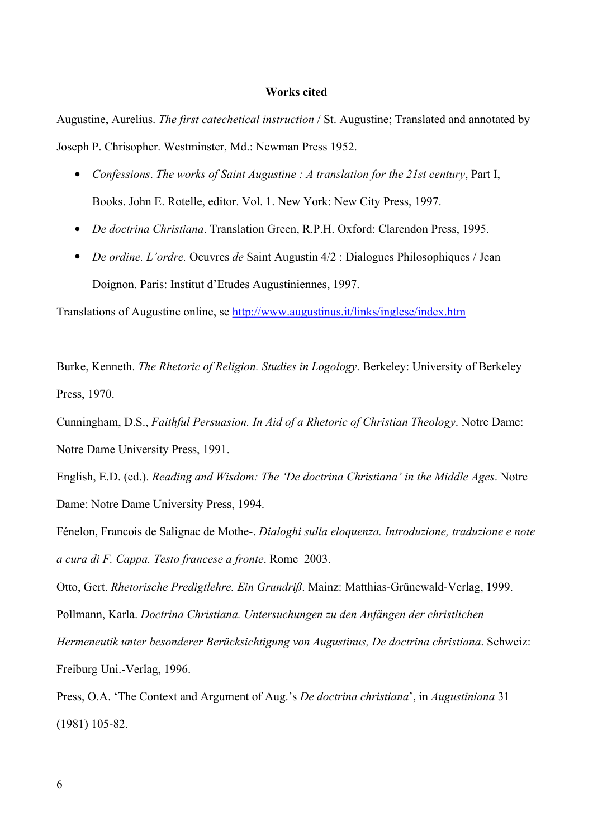## **Works cited**

Augustine, Aurelius. *The first catechetical instruction* / St. Augustine; Translated and annotated by Joseph P. Chrisopher. Westminster, Md.: Newman Press 1952.

- *Confessions*. *The works of Saint Augustine : A translation for the 21st century*, Part I, Books. John E. Rotelle, editor. Vol. 1. New York: New City Press, 1997.
- *De doctrina Christiana*. Translation Green, R.P.H. Oxford: Clarendon Press, 1995.
- *De ordine. L'ordre.* Oeuvres *de* Saint Augustin 4/2 : Dialogues Philosophiques / Jean Doignon. Paris: Institut d'Etudes Augustiniennes, 1997.

Translations of Augustine online, se <http://www.augustinus.it/links/inglese/index.htm>

Burke, Kenneth. *The Rhetoric of Religion. Studies in Logology*. Berkeley: University of Berkeley Press, 1970.

Cunningham, D.S., *Faithful Persuasion. In Aid of a Rhetoric of Christian Theology*. Notre Dame: Notre Dame University Press, 1991.

English, E.D. (ed.). *Reading and Wisdom: The 'De doctrina Christiana' in the Middle Ages*. Notre Dame: Notre Dame University Press, 1994.

Fénelon, Francois de Salignac de Mothe-. *Dialoghi sulla eloquenza. Introduzione, traduzione e note a cura di F. Cappa. Testo francese a fronte*. Rome 2003.

Otto, Gert. *Rhetorische Predigtlehre. Ein Grundriß*. Mainz: Matthias-Grünewald-Verlag, 1999. Pollmann, Karla. *Doctrina Christiana. Untersuchungen zu den Anfängen der christlichen Hermeneutik unter besonderer Berücksichtigung von Augustinus, De doctrina christiana*. Schweiz: Freiburg Uni.-Verlag, 1996.

Press, O.A. 'The Context and Argument of Aug.'s *De doctrina christiana*', in *Augustiniana* 31 (1981) 105-82.